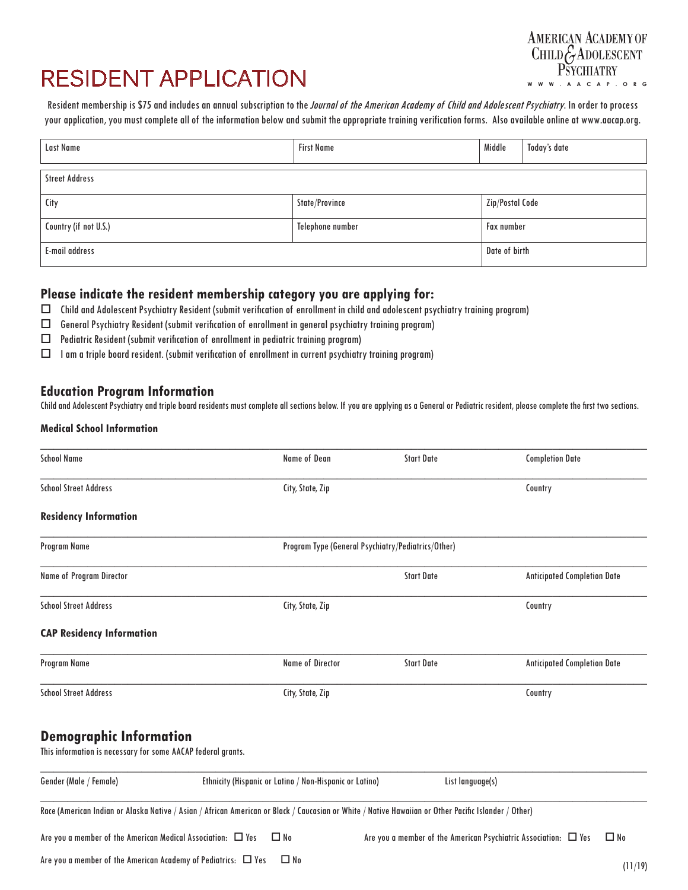# RESIDENT APPLICATION

Resident membership is \$75 and includes an annual subscription to the *Journal of the American Academy of Child and Adolescent Psychiatry*. In order to process your application, you must complete all of the information below and submit the appropriate training verification forms. Also available online at www.aacap.org.

| Last Name             | <b>First Name</b> | Middle            | Today's date |  |  |
|-----------------------|-------------------|-------------------|--------------|--|--|
| <b>Street Address</b> |                   |                   |              |  |  |
| City                  | State/Province    | Zip/Postal Code   |              |  |  |
| Country (if not U.S.) | Telephone number  | <b>Fax number</b> |              |  |  |
| <b>E-mail address</b> |                   | Date of birth     |              |  |  |

### **Please indicate the resident membership category you are applying for:**

- $\Box$  Child and Adolescent Psychiatry Resident (submit verification of enrollment in child and adolescent psychiatry training program)
- $\Box$  General Psychiatry Resident (submit verification of enrollment in general psychiatry training program)
- $\Box$  Pediatric Resident (submit verification of enrollment in pediatric training program)
- $\Box$  I am a triple board resident. (submit verification of enrollment in current psychiatry training program)

## **Education Program Information**

Child and Adolescent Psychiatry and triple board residents must complete all sections below. If you are applying as a General or Pediatric resident, please complete the first two sections.

#### **Medical School Information**

| <b>School Name</b>                                                                                                                                   | <b>Name of Dean</b>                                     | <b>Start Date</b>                                                    | <b>Completion Date</b>             |
|------------------------------------------------------------------------------------------------------------------------------------------------------|---------------------------------------------------------|----------------------------------------------------------------------|------------------------------------|
| <b>School Street Address</b>                                                                                                                         | City, State, Zip                                        |                                                                      | Country                            |
| <b>Residency Information</b>                                                                                                                         |                                                         |                                                                      |                                    |
| Program Name                                                                                                                                         | Program Type (General Psychiatry/Pediatrics/Other)      |                                                                      |                                    |
| Name of Program Director                                                                                                                             |                                                         | <b>Start Date</b>                                                    | <b>Anticipated Completion Date</b> |
| <b>School Street Address</b>                                                                                                                         | City, State, Zip                                        |                                                                      | Country                            |
| <b>CAP Residency Information</b>                                                                                                                     |                                                         |                                                                      |                                    |
| Program Name                                                                                                                                         | <b>Name of Director</b>                                 | <b>Start Date</b>                                                    | <b>Anticipated Completion Date</b> |
| <b>School Street Address</b>                                                                                                                         | City, State, Zip                                        |                                                                      | Country                            |
| <b>Demographic Information</b><br>This information is necessary for some AACAP federal grants.                                                       |                                                         |                                                                      |                                    |
| Gender (Male / Female)                                                                                                                               | Ethnicity (Hispanic or Latino / Non-Hispanic or Latino) | List language(s)                                                     |                                    |
| Race (American Indian or Alaska Native / Asian / African American or Black / Caucasian or White / Native Hawaiian or Other Pacific Islander / Other) |                                                         |                                                                      |                                    |
| Are you a member of the American Medical Association: $\Box$ Yes                                                                                     | $\Box$ No                                               | Are you a member of the American Psychiatric Association: $\Box$ Yes | $\Box$ No                          |

Are you a member of the American Academy of Pediatrics:  $\Box$  Yes  $\Box$  No